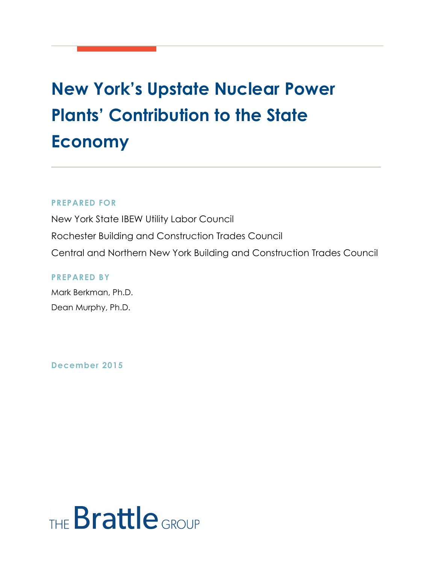## **New York's Upstate Nuclear Power Plants' Contribution to the State Economy**

#### **PREPARED FOR**

New York State IBEW Utility Labor Council Rochester Building and Construction Trades Council Central and Northern New York Building and Construction Trades Council

**PREPARED BY** Mark Berkman, Ph.D. Dean Murphy, Ph.D.

**December 2015**

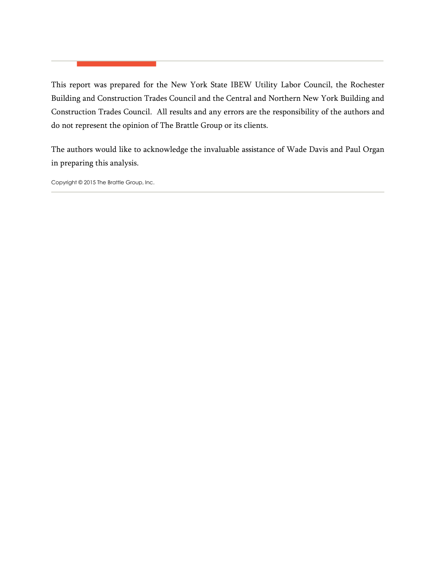This report was prepared for the New York State IBEW Utility Labor Council, the Rochester Building and Construction Trades Council and the Central and Northern New York Building and Construction Trades Council. All results and any errors are the responsibility of the authors and do not represent the opinion of The Brattle Group or its clients.

The authors would like to acknowledge the invaluable assistance of Wade Davis and Paul Organ in preparing this analysis.

Copyright © 2015 The Brattle Group, Inc.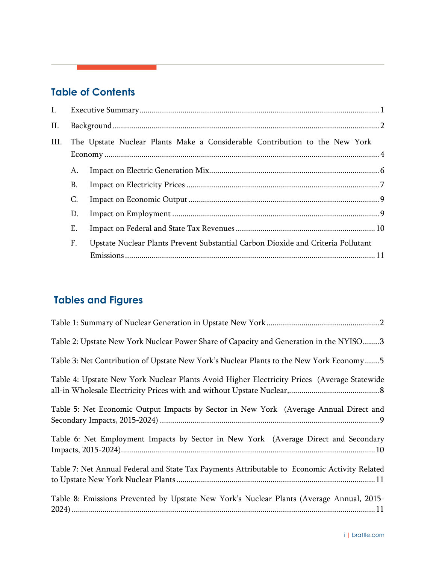## **Table of Contents**

**Contract Contract** 

| I.   |    |                                                                                  |  |
|------|----|----------------------------------------------------------------------------------|--|
| II.  |    |                                                                                  |  |
| III. |    | The Upstate Nuclear Plants Make a Considerable Contribution to the New York      |  |
|      | А. |                                                                                  |  |
|      | В. |                                                                                  |  |
|      | C. |                                                                                  |  |
|      | D. |                                                                                  |  |
|      | Ε. |                                                                                  |  |
|      | F. | Upstate Nuclear Plants Prevent Substantial Carbon Dioxide and Criteria Pollutant |  |
|      |    |                                                                                  |  |

## **Tables and Figures**

| Table 2: Upstate New York Nuclear Power Share of Capacity and Generation in the NYISO3       |
|----------------------------------------------------------------------------------------------|
| Table 3: Net Contribution of Upstate New York's Nuclear Plants to the New York Economy5      |
| Table 4: Upstate New York Nuclear Plants Avoid Higher Electricity Prices (Average Statewide  |
| Table 5: Net Economic Output Impacts by Sector in New York (Average Annual Direct and        |
| Table 6: Net Employment Impacts by Sector in New York (Average Direct and Secondary          |
| Table 7: Net Annual Federal and State Tax Payments Attributable to Economic Activity Related |
| Table 8: Emissions Prevented by Upstate New York's Nuclear Plants (Average Annual, 2015-     |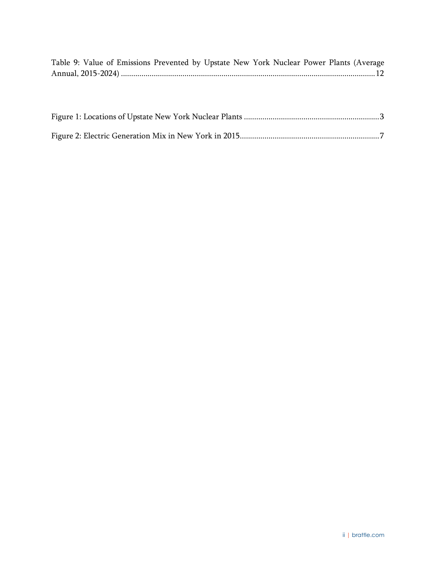| Table 9: Value of Emissions Prevented by Upstate New York Nuclear Power Plants (Average |  |  |  |
|-----------------------------------------------------------------------------------------|--|--|--|
|                                                                                         |  |  |  |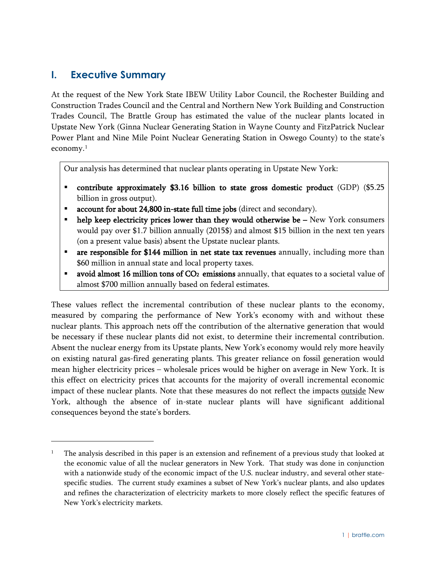#### <span id="page-4-0"></span>**I. Executive Summary**

 $\overline{a}$ 

At the request of the New York State IBEW Utility Labor Council, the Rochester Building and Construction Trades Council and the Central and Northern New York Building and Construction Trades Council, The Brattle Group has estimated the value of the nuclear plants located in Upstate New York (Ginna Nuclear Generating Station in Wayne County and FitzPatrick Nuclear Power Plant and Nine Mile Point Nuclear Generating Station in Oswego County) to the state's economy.<sup>1</sup>

Our analysis has determined that nuclear plants operating in Upstate New York:

- contribute approximately \$3.16 billion to state gross domestic product (GDP) (\$5.25 billion in gross output).
- account for about 24,800 in-state full time jobs (direct and secondary).
- help keep electricity prices lower than they would otherwise be New York consumers would pay over \$1.7 billion annually (2015\$) and almost \$15 billion in the next ten years (on a present value basis) absent the Upstate nuclear plants.
- are responsible for \$144 million in net state tax revenues annually, including more than \$60 million in annual state and local property taxes.
- avoid almost 16 million tons of  $CO<sub>2</sub>$  emissions annually, that equates to a societal value of almost \$700 million annually based on federal estimates.

These values reflect the incremental contribution of these nuclear plants to the economy, measured by comparing the performance of New York's economy with and without these nuclear plants. This approach nets off the contribution of the alternative generation that would be necessary if these nuclear plants did not exist, to determine their incremental contribution. Absent the nuclear energy from its Upstate plants, New York's economy would rely more heavily on existing natural gas-fired generating plants. This greater reliance on fossil generation would mean higher electricity prices – wholesale prices would be higher on average in New York. It is this effect on electricity prices that accounts for the majority of overall incremental economic impact of these nuclear plants. Note that these measures do not reflect the impacts outside New York, although the absence of in-state nuclear plants will have significant additional consequences beyond the state's borders.

<span id="page-4-1"></span><sup>1</sup> The analysis described in this paper is an extension and refinement of a previous study that looked at the economic value of all the nuclear generators in New York. That study was done in conjunction with a nationwide study of the economic impact of the U.S. nuclear industry, and several other statespecific studies. The current study examines a subset of New York's nuclear plants, and also updates and refines the characterization of electricity markets to more closely reflect the specific features of New York's electricity markets.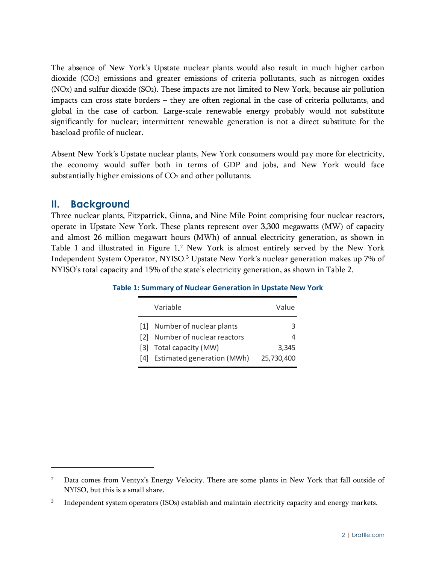The absence of New York's Upstate nuclear plants would also result in much higher carbon dioxide (CO2) emissions and greater emissions of criteria pollutants, such as nitrogen oxides  $(NOx)$  and sulfur dioxide  $(SO<sub>2</sub>)$ . These impacts are not limited to New York, because air pollution impacts can cross state borders – they are often regional in the case of criteria pollutants, and global in the case of carbon. Large-scale renewable energy probably would not substitute significantly for nuclear; intermittent renewable generation is not a direct substitute for the baseload profile of nuclear.

Absent New York's Upstate nuclear plants, New York consumers would pay more for electricity, the economy would suffer both in terms of GDP and jobs, and New York would face substantially higher emissions of CO<sub>2</sub> and other pollutants.

#### <span id="page-5-0"></span>**II. Background**

Three nuclear plants, Fitzpatrick, Ginna, and Nine Mile Point comprising four nuclear reactors, operate in Upstate New York. These plants represent over 3,300 megawatts (MW) of capacity and almost 26 million megawatt hours (MWh) of annual electricity generation, as shown in [Table 1](#page-5-1) and illustrated in [Figure 1.](#page-6-0)[2](#page-5-2) New York is almost entirely served by the New York Independent System Operator, NYISO.[3](#page-5-3) Upstate New York's nuclear generation makes up 7% of NYISO's total capacity and 15% of the state's electricity generation, as shown in [Table 2.](#page-6-1)

|     | Variable                   | Value      |
|-----|----------------------------|------------|
| 111 | Number of nuclear plants   | З          |
| 121 | Number of nuclear reactors |            |
|     | [3] Total capacity (MW)    | 3.345      |
| 141 | Estimated generation (MWh) | 25,730,400 |

<span id="page-5-1"></span>**Table 1: Summary of Nuclear Generation in Upstate New York**

<span id="page-5-2"></span><sup>&</sup>lt;sup>2</sup> Data comes from Ventyx's Energy Velocity. There are some plants in New York that fall outside of NYISO, but this is a small share.

<span id="page-5-3"></span><sup>&</sup>lt;sup>3</sup> Independent system operators (ISOs) establish and maintain electricity capacity and energy markets.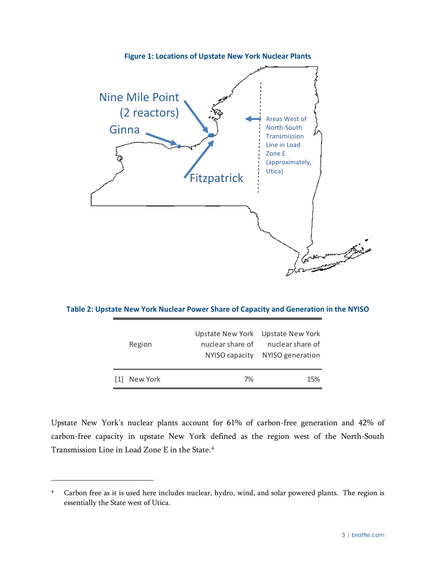<span id="page-6-0"></span>

<span id="page-6-1"></span>**Table 2: Upstate New York Nuclear Power Share of Capacity and Generation in the NYISO**

| $\lceil 1 \rceil$ | New York | 7%               | 15%                                                   |
|-------------------|----------|------------------|-------------------------------------------------------|
|                   |          | NYISO capacity   | NYISO generation                                      |
|                   | Region   | nuclear share of | Upstate New York Upstate New York<br>nuclear share of |

Upstate New York's nuclear plants account for 61% of carbon-free generation and 42% of carbon-free capacity in upstate New York defined as the region west of the North-South Transmission Line in Load Zone E in the State.[4](#page-6-2)

<span id="page-6-2"></span><sup>&</sup>lt;sup>4</sup> Carbon free as it is used here includes nuclear, hydro, wind, and solar powered plants. The region is essentially the State west of Utica.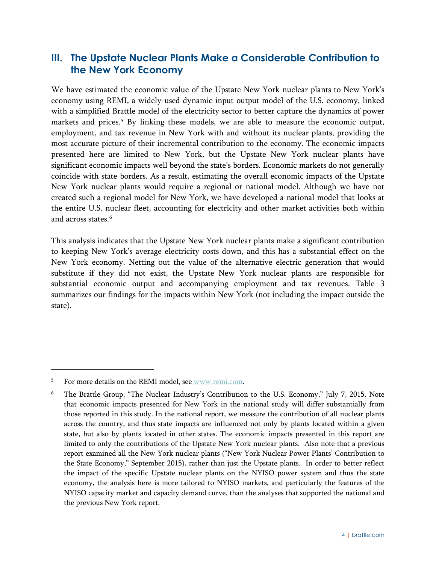### <span id="page-7-0"></span>**III. The Upstate Nuclear Plants Make a Considerable Contribution to the New York Economy**

We have estimated the economic value of the Upstate New York nuclear plants to New York's economy using REMI, a widely-used dynamic input output model of the U.S. economy, linked with a simplified Brattle model of the electricity sector to better capture the dynamics of power markets and prices.<sup>[5](#page-7-1)</sup> By linking these models, we are able to measure the economic output, employment, and tax revenue in New York with and without its nuclear plants, providing the most accurate picture of their incremental contribution to the economy. The economic impacts presented here are limited to New York, but the Upstate New York nuclear plants have significant economic impacts well beyond the state's borders. Economic markets do not generally coincide with state borders. As a result, estimating the overall economic impacts of the Upstate New York nuclear plants would require a regional or national model. Although we have not created such a regional model for New York, we have developed a national model that looks at the entire U.S. nuclear fleet, accounting for electricity and other market activities both within and across states.<sup>[6](#page-7-2)</sup>

This analysis indicates that the Upstate New York nuclear plants make a significant contribution to keeping New York's average electricity costs down, and this has a substantial effect on the New York economy. Netting out the value of the alternative electric generation that would substitute if they did not exist, the Upstate New York nuclear plants are responsible for substantial economic output and accompanying employment and tax revenues. [Table 3](#page-8-0) summarizes our findings for the impacts within New York (not including the impact outside the state).

<span id="page-7-1"></span><sup>5</sup> For more details on the REMI model, see [www.remi.com.](http://www.remi.com/)

<span id="page-7-2"></span><sup>&</sup>lt;sup>6</sup> The Brattle Group, "The Nuclear Industry's Contribution to the U.S. Economy," July 7, 2015. Note that economic impacts presented for New York in the national study will differ substantially from those reported in this study. In the national report, we measure the contribution of all nuclear plants across the country, and thus state impacts are influenced not only by plants located within a given state, but also by plants located in other states. The economic impacts presented in this report are limited to only the contributions of the Upstate New York nuclear plants. Also note that a previous report examined all the New York nuclear plants ("New York Nuclear Power Plants' Contribution to the State Economy," September 2015), rather than just the Upstate plants. In order to better reflect the impact of the specific Upstate nuclear plants on the NYISO power system and thus the state economy, the analysis here is more tailored to NYISO markets, and particularly the features of the NYISO capacity market and capacity demand curve, than the analyses that supported the national and the previous New York report.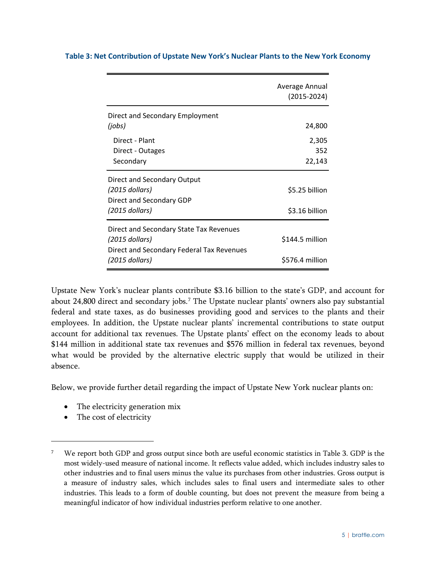|                                                                                                                          | Average Annual<br>$(2015 - 2024)$  |
|--------------------------------------------------------------------------------------------------------------------------|------------------------------------|
| Direct and Secondary Employment<br>(jobs)                                                                                | 24,800                             |
| Direct - Plant<br>Direct - Outages<br>Secondary                                                                          | 2,305<br>352<br>22,143             |
| Direct and Secondary Output<br>(2015 dollars)<br>Direct and Secondary GDP<br>(2015 dollars)                              | \$5.25 billion<br>\$3.16 billion   |
| Direct and Secondary State Tax Revenues<br>(2015 dollars)<br>Direct and Secondary Federal Tax Revenues<br>(2015 dollars) | \$144.5 million<br>\$576.4 million |

#### <span id="page-8-0"></span>**Table 3: Net Contribution of Upstate New York's Nuclear Plants to the New York Economy**

Upstate New York's nuclear plants contribute \$3.16 billion to the state's GDP, and account for about 24,800 direct and secondary jobs.<sup>[7](#page-8-1)</sup> The Upstate nuclear plants' owners also pay substantial federal and state taxes, as do businesses providing good and services to the plants and their employees. In addition, the Upstate nuclear plants' incremental contributions to state output account for additional tax revenues. The Upstate plants' effect on the economy leads to about \$144 million in additional state tax revenues and \$576 million in federal tax revenues, beyond what would be provided by the alternative electric supply that would be utilized in their absence.

Below, we provide further detail regarding the impact of Upstate New York nuclear plants on:

- The electricity generation mix
- The cost of electricity

<span id="page-8-1"></span><sup>7</sup> We report both GDP and gross output since both are useful economic statistics in [Table 3.](#page-8-0) GDP is the most widely-used measure of national income. It reflects value added, which includes industry sales to other industries and to final users minus the value its purchases from other industries. Gross output is a measure of industry sales, which includes sales to final users and intermediate sales to other industries. This leads to a form of double counting, but does not prevent the measure from being a meaningful indicator of how individual industries perform relative to one another.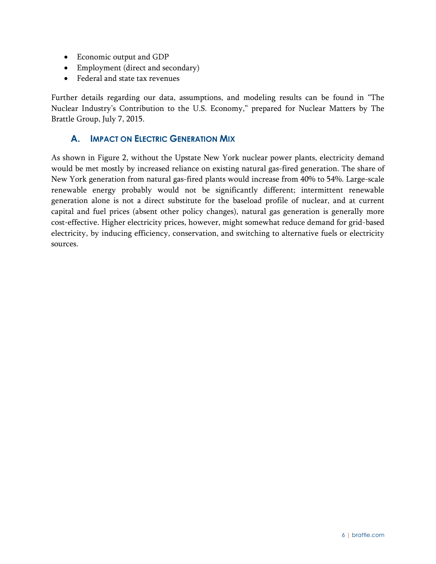- Economic output and GDP
- Employment (direct and secondary)
- Federal and state tax revenues

Further details regarding our data, assumptions, and modeling results can be found in "The Nuclear Industry's Contribution to the U.S. Economy," prepared for Nuclear Matters by The Brattle Group, July 7, 2015.

#### <span id="page-9-0"></span>**A. IMPACT ON ELECTRIC GENERATION MIX**

As shown in [Figure 2,](#page-10-1) without the Upstate New York nuclear power plants, electricity demand would be met mostly by increased reliance on existing natural gas-fired generation. The share of New York generation from natural gas-fired plants would increase from 40% to 54%. Large-scale renewable energy probably would not be significantly different; intermittent renewable generation alone is not a direct substitute for the baseload profile of nuclear, and at current capital and fuel prices (absent other policy changes), natural gas generation is generally more cost-effective. Higher electricity prices, however, might somewhat reduce demand for grid-based electricity, by inducing efficiency, conservation, and switching to alternative fuels or electricity sources.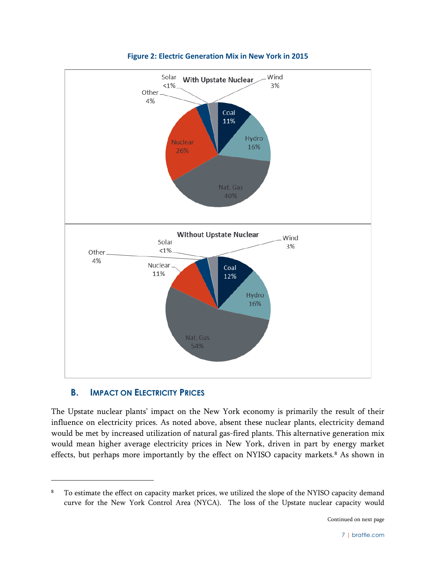<span id="page-10-1"></span>

**Figure 2: Electric Generation Mix in New York in 2015**

#### <span id="page-10-0"></span>**B. IMPACT ON ELECTRICITY PRICES**

 $\overline{a}$ 

The Upstate nuclear plants' impact on the New York economy is primarily the result of their influence on electricity prices. As noted above, absent these nuclear plants, electricity demand would be met by increased utilization of natural gas-fired plants. This alternative generation mix would mean higher average electricity prices in New York, driven in part by energy market effects, but perhaps more importantly by the effect on NYISO capacity markets.<sup>[8](#page-10-2)</sup> As shown in

<span id="page-10-2"></span><sup>&</sup>lt;sup>8</sup> To estimate the effect on capacity market prices, we utilized the slope of the NYISO capacity demand curve for the New York Control Area (NYCA). The loss of the Upstate nuclear capacity would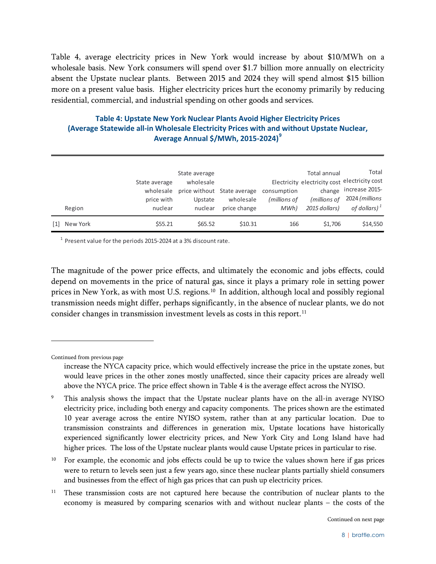[Table 4,](#page-11-0) average electricity prices in New York would increase by about \$10/MWh on a wholesale basis. New York consumers will spend over \$1.7 billion more annually on electricity absent the Upstate nuclear plants. Between 2015 and 2024 they will spend almost \$15 billion more on a present value basis. Higher electricity prices hurt the economy primarily by reducing residential, commercial, and industrial spending on other goods and services.

#### <span id="page-11-0"></span>**Table 4: Upstate New York Nuclear Plants Avoid Higher Electricity Prices (Average Statewide all-in Wholesale Electricity Prices with and without Upstate Nuclear, Average Annual \$/MWh, 2015-2024) [9](#page-11-1)**

|     |          |               | State average |                                         |              | Total annual  | Total                                         |
|-----|----------|---------------|---------------|-----------------------------------------|--------------|---------------|-----------------------------------------------|
|     |          | State average | wholesale     |                                         |              |               | Electricity electricity cost electricity cost |
|     |          | wholesale     |               | price without State average consumption |              | change        | increase 2015-                                |
|     |          | price with    | Upstate       | wholesale                               | (millions of | (millions of  | 2024 (millions                                |
|     | Region   | nuclear       | nuclear       | price change                            | MWh)         | 2015 dollars) | of dollars) $^1$                              |
| [1] | New York | \$55.21       | \$65.52       | \$10.31                                 | 166          | \$1,706       | \$14,550                                      |

 $1$  Present value for the periods 2015-2024 at a 3% discount rate.

The magnitude of the power price effects, and ultimately the economic and jobs effects, could depend on movements in the price of natural gas, since it plays a primary role in setting power prices in New York, as with most U.S. regions.<sup>[10](#page-11-2)</sup> In addition, although local and possibly regional transmission needs might differ, perhaps significantly, in the absence of nuclear plants, we do not consider changes in transmission investment levels as costs in this report.<sup>[11](#page-11-3)</sup>

Continued from previous page

 $\overline{a}$ 

<span id="page-11-2"></span><sup>10</sup> For example, the economic and jobs effects could be up to twice the values shown here if gas prices were to return to levels seen just a few years ago, since these nuclear plants partially shield consumers and businesses from the effect of high gas prices that can push up electricity prices.

<span id="page-11-3"></span><sup>11</sup> These transmission costs are not captured here because the contribution of nuclear plants to the economy is measured by comparing scenarios with and without nuclear plants – the costs of the

increase the NYCA capacity price, which would effectively increase the price in the upstate zones, but would leave prices in the other zones mostly unaffected, since their capacity prices are already well above the NYCA price. The price effect shown in [Table 4](#page-11-0) is the average effect across the NYISO.

<span id="page-11-1"></span><sup>9</sup> This analysis shows the impact that the Upstate nuclear plants have on the all-in average NYISO electricity price, including both energy and capacity components. The prices shown are the estimated 10 year average across the entire NYISO system, rather than at any particular location. Due to transmission constraints and differences in generation mix, Upstate locations have historically experienced significantly lower electricity prices, and New York City and Long Island have had higher prices. The loss of the Upstate nuclear plants would cause Upstate prices in particular to rise.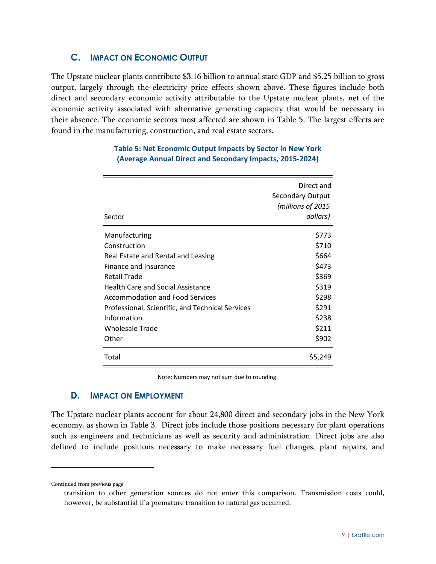#### <span id="page-12-0"></span>**C. IMPACT ON ECONOMIC OUTPUT**

<span id="page-12-2"></span>The Upstate nuclear plants contribute \$3.16 billion to annual state GDP and \$5.25 billion to gross output, largely through the electricity price effects shown above. These figures include both direct and secondary economic activity attributable to the Upstate nuclear plants, net of the economic activity associated with alternative generating capacity that would be necessary in their absence. The economic sectors most affected are shown in [Table 5.](#page-12-2) The largest effects are found in the manufacturing, construction, and real estate sectors.

| Sector                                           | Direct and<br><b>Secondary Output</b><br>(millions of 2015<br>dollars) |
|--------------------------------------------------|------------------------------------------------------------------------|
| Manufacturing                                    | \$773                                                                  |
| Construction                                     | \$710                                                                  |
| Real Estate and Rental and Leasing               | \$664                                                                  |
| Finance and Insurance                            | \$473                                                                  |
| Retail Trade                                     | \$369                                                                  |
| Health Care and Social Assistance                | \$319                                                                  |
| <b>Accommodation and Food Services</b>           | \$298                                                                  |
| Professional, Scientific, and Technical Services | \$291                                                                  |
| Information                                      | \$238                                                                  |
| Wholesale Trade                                  | \$211                                                                  |
| Other                                            | \$902                                                                  |
| Total                                            | \$5,249                                                                |

#### **Table 5: Net Economic Output Impacts by Sector in New York (Average Annual Direct and Secondary Impacts, 2015-2024)**

Note: Numbers may not sum due to rounding.

#### <span id="page-12-1"></span>**D. IMPACT ON EMPLOYMENT**

The Upstate nuclear plants account for about 24,800 direct and secondary jobs in the New York economy, as shown in [Table 3.](#page-8-0) Direct jobs include those positions necessary for plant operations such as engineers and technicians as well as security and administration. Direct jobs are also defined to include positions necessary to make necessary fuel changes, plant repairs, and

Continued from previous page

transition to other generation sources do not enter this comparison. Transmission costs could, however, be substantial if a premature transition to natural gas occurred.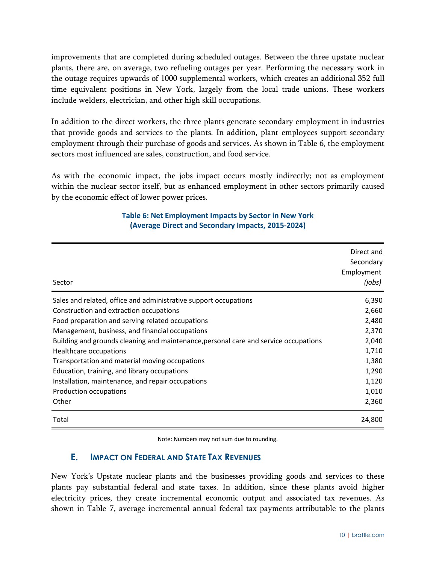improvements that are completed during scheduled outages. Between the three upstate nuclear plants, there are, on average, two refueling outages per year. Performing the necessary work in the outage requires upwards of 1000 supplemental workers, which creates an additional 352 full time equivalent positions in New York, largely from the local trade unions. These workers include welders, electrician, and other high skill occupations.

In addition to the direct workers, the three plants generate secondary employment in industries that provide goods and services to the plants. In addition, plant employees support secondary employment through their purchase of goods and services. As shown in [Table 6,](#page-13-1) the employment sectors most influenced are sales, construction, and food service.

<span id="page-13-1"></span>As with the economic impact, the jobs impact occurs mostly indirectly; not as employment within the nuclear sector itself, but as enhanced employment in other sectors primarily caused by the economic effect of lower power prices.

| Sector                                                                               | Direct and<br>Secondary<br>Employment<br>(jobs) |
|--------------------------------------------------------------------------------------|-------------------------------------------------|
| Sales and related, office and administrative support occupations                     | 6,390                                           |
| Construction and extraction occupations                                              | 2,660                                           |
| Food preparation and serving related occupations                                     | 2,480                                           |
| Management, business, and financial occupations                                      | 2,370                                           |
| Building and grounds cleaning and maintenance, personal care and service occupations | 2,040                                           |
| Healthcare occupations                                                               | 1,710                                           |
| Transportation and material moving occupations                                       | 1,380                                           |
| Education, training, and library occupations                                         | 1,290                                           |
| Installation, maintenance, and repair occupations                                    | 1,120                                           |
| Production occupations                                                               | 1,010                                           |
| Other                                                                                | 2,360                                           |
| Total                                                                                | 24,800                                          |

#### **Table 6: Net Employment Impacts by Sector in New York (Average Direct and Secondary Impacts, 2015-2024)**

Note: Numbers may not sum due to rounding.

#### <span id="page-13-0"></span>**E. IMPACT ON FEDERAL AND STATE TAX REVENUES**

New York's Upstate nuclear plants and the businesses providing goods and services to these plants pay substantial federal and state taxes. In addition, since these plants avoid higher electricity prices, they create incremental economic output and associated tax revenues. As shown in [Table 7,](#page-14-1) average incremental annual federal tax payments attributable to the plants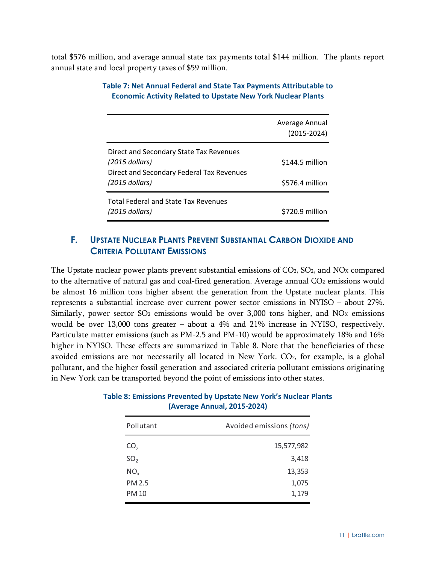<span id="page-14-1"></span>total \$576 million, and average annual state tax payments total \$144 million. The plants report annual state and local property taxes of \$59 million.

|                                             | Average Annual<br>$(2015 - 2024)$ |
|---------------------------------------------|-----------------------------------|
| Direct and Secondary State Tax Revenues     |                                   |
| $(2015$ dollars)                            | \$144.5 million                   |
| Direct and Secondary Federal Tax Revenues   |                                   |
| $(2015$ dollars)                            | \$576.4 million                   |
| <b>Total Federal and State Tax Revenues</b> |                                   |
| $(2015$ dollars)                            | \$720.9 million                   |

#### **Table 7: Net Annual Federal and State Tax Payments Attributable to Economic Activity Related to Upstate New York Nuclear Plants**

#### <span id="page-14-0"></span>**F. UPSTATE NUCLEAR PLANTS PREVENT SUBSTANTIAL CARBON DIOXIDE AND CRITERIA POLLUTANT EMISSIONS**

The Upstate nuclear power plants prevent substantial emissions of  $CO<sub>2</sub>$ ,  $SO<sub>2</sub>$ , and  $NO<sub>X</sub>$  compared to the alternative of natural gas and coal-fired generation. Average annual  $CO<sub>2</sub>$  emissions would be almost 16 million tons higher absent the generation from the Upstate nuclear plants. This represents a substantial increase over current power sector emissions in NYISO – about 27%. Similarly, power sector SO<sub>2</sub> emissions would be over 3,000 tons higher, and NO<sub>x</sub> emissions would be over 13,000 tons greater – about a 4% and 21% increase in NYISO, respectively. Particulate matter emissions (such as PM-2.5 and PM-10) would be approximately 18% and 16% higher in NYISO. These effects are summarized in [Table 8.](#page-14-2) Note that the beneficiaries of these avoided emissions are not necessarily all located in New York. CO2, for example, is a global pollutant, and the higher fossil generation and associated criteria pollutant emissions originating in New York can be transported beyond the point of emissions into other states.

<span id="page-14-2"></span>

| <b>Table 8: Emissions Prevented by Upstate New York's Nuclear Plants</b> |
|--------------------------------------------------------------------------|
| (Average Annual, 2015-2024)                                              |

| Avoided emissions (tons) |  |
|--------------------------|--|
| 15,577,982               |  |
| 3,418                    |  |
| 13,353                   |  |
| 1,075                    |  |
| 1,179                    |  |
|                          |  |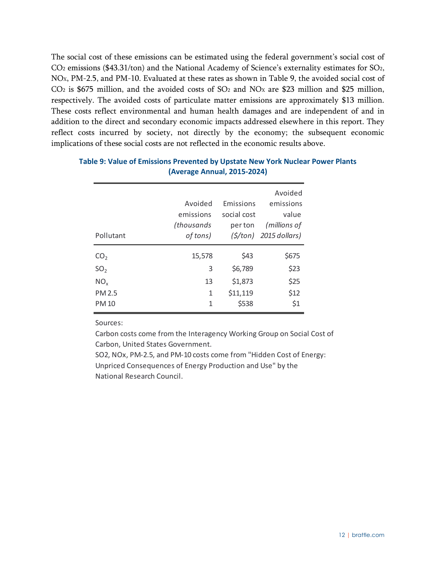The social cost of these emissions can be estimated using the federal government's social cost of CO2 emissions (\$43.31/ton) and the National Academy of Science's externality estimates for SO2, NOX, PM-2.5, and PM-10. Evaluated at these rates as shown in [Table 9,](#page-15-0) the avoided social cost of  $CO<sub>2</sub>$  is \$675 million, and the avoided costs of  $SO<sub>2</sub>$  and  $NO<sub>X</sub>$  are \$23 million and \$25 million, respectively. The avoided costs of particulate matter emissions are approximately \$13 million. These costs reflect environmental and human health damages and are independent of and in addition to the direct and secondary economic impacts addressed elsewhere in this report. They reflect costs incurred by society, not directly by the economy; the subsequent economic implications of these social costs are not reflected in the economic results above.

|                 |            |             | Avoided                            |
|-----------------|------------|-------------|------------------------------------|
|                 | Avoided    | Emissions   | emissions                          |
|                 | emissions  | social cost | value                              |
|                 | (thousands | per ton     | (millions of                       |
| Pollutant       | of tons)   |             | $(\frac{\xi}{\tan})$ 2015 dollars) |
|                 |            |             |                                    |
| CO <sub>2</sub> | 15,578     | \$43        | \$675                              |
| SO <sub>2</sub> | 3          | \$6,789     | \$23                               |
| NO <sub>x</sub> | 13         | \$1,873     | \$25                               |
| <b>PM 2.5</b>   | 1          | \$11,119    | \$12                               |
| <b>PM10</b>     | 1          | \$538       | \$1                                |

#### <span id="page-15-0"></span>**Table 9: Value of Emissions Prevented by Upstate New York Nuclear Power Plants (Average Annual, 2015-2024)**

Sources:

Carbon costs come from the Interagency Working Group on Social Cost of Carbon, United States Government.

SO2, NOx, PM-2.5, and PM-10 costs come from "Hidden Cost of Energy: Unpriced Consequences of Energy Production and Use" by the National Research Council.